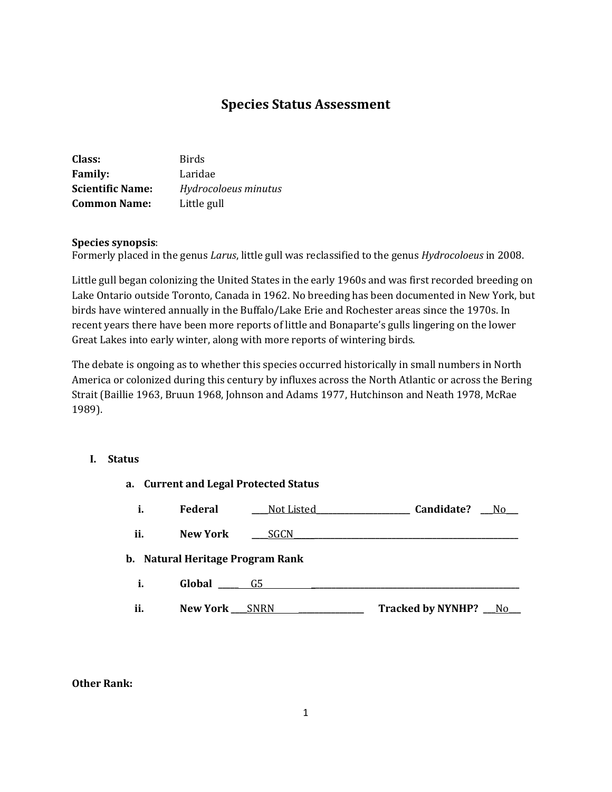# **Species Status Assessment**

| Class:                  | <b>Birds</b>         |
|-------------------------|----------------------|
| <b>Family:</b>          | Laridae              |
| <b>Scientific Name:</b> | Hydrocoloeus minutus |
| <b>Common Name:</b>     | Little gull          |

### **Species synopsis**:

Formerly placed in the genus *Larus*, little gull was reclassified to the genus *Hydrocoloeus* in 2008.

Little gull began colonizing the United States in the early 1960s and was first recorded breeding on Lake Ontario outside Toronto, Canada in 1962. No breeding has been documented in New York, but birds have wintered annually in the Buffalo/Lake Erie and Rochester areas since the 1970s. In recent years there have been more reports of little and Bonaparte's gulls lingering on the lower Great Lakes into early winter, along with more reports of wintering birds.

The debate is ongoing as to whether this species occurred historically in small numbers in North America or colonized during this century by influxes across the North Atlantic or across the Bering Strait [\(Baillie 1963,](http://bna.birds.cornell.edu/bna/species/428/articles/species/428/biblio/bib005) [Bruun 1968,](http://bna.birds.cornell.edu/bna/species/428/articles/species/428/biblio/bib018) [Johnson and Adams 1977,](http://bna.birds.cornell.edu/bna/species/428/articles/species/428/biblio/bib049) [Hutchinson and Neath 1978,](http://bna.birds.cornell.edu/bna/species/428/articles/species/428/biblio/bib047) [McRae](http://bna.birds.cornell.edu/bna/species/428/articles/species/428/biblio/bib055)  [1989\)](http://bna.birds.cornell.edu/bna/species/428/articles/species/428/biblio/bib055).

#### **I. Status**

|     |                                  | a. Current and Legal Protected Status |                          |     |
|-----|----------------------------------|---------------------------------------|--------------------------|-----|
| i.  | <b>Federal</b>                   | _Not Listed_                          | Candidate?               | No  |
| ii. | New York                         | SGCN                                  |                          |     |
|     | b. Natural Heritage Program Rank |                                       |                          |     |
| i.  | Global                           | G5                                    |                          |     |
| ii. | <b>New York</b>                  | SNRN                                  | <b>Tracked by NYNHP?</b> | No. |

#### **Other Rank:**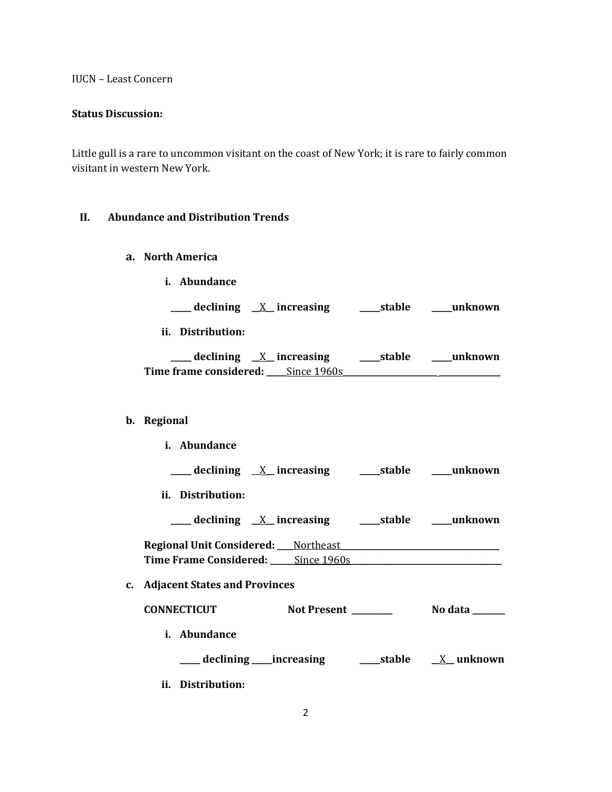IUCN – Least Concern

#### **Status Discussion:**

Little gull is a rare to uncommon visitant on the coast of New York; it is rare to fairly common visitant in western New York.

# **II. Abundance and Distribution Trends**

- **a. North America**
	- **i. Abundance**

**\_\_\_\_\_ declining \_\_**X**\_\_ increasing \_\_\_\_\_stable \_\_\_\_\_unknown**

**ii. Distribution:**

| declining <u>X</u> increasing      | ____stable | unknown |
|------------------------------------|------------|---------|
| Time frame considered: Since 1960s |            |         |

# **b. Regional**

| <i>i.</i> Abundance                                                   |                 |
|-----------------------------------------------------------------------|-----------------|
| <u>___</u> declining <u>X</u> _ increasing  ____ stable  ____ unknown |                 |
| ii. Distribution:                                                     |                 |
| ____ declining <u>X</u> increasing _____ stable ____ unknown          |                 |
|                                                                       |                 |
|                                                                       |                 |
| c. Adjacent States and Provinces                                      |                 |
| Not Present ________<br><b>CONNECTICUT</b>                            | No data _______ |
| <i>i.</i> Abundance                                                   |                 |
|                                                                       |                 |
| ii. Distribution:                                                     |                 |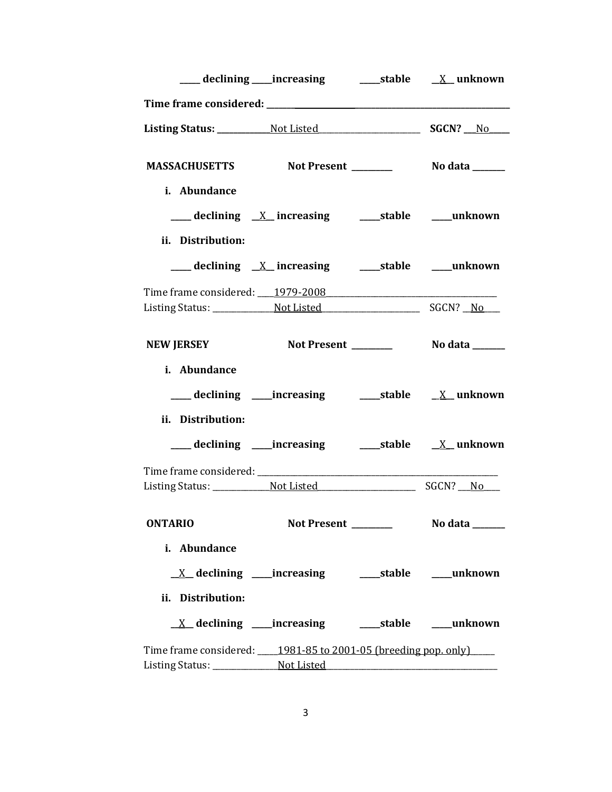| MASSACHUSETTS Not Present _________ No data ______             |                     |                |
|----------------------------------------------------------------|---------------------|----------------|
| i. Abundance                                                   |                     |                |
| ___ declining <u>X</u> _increasing  ____stable  ____unknown    |                     |                |
| ii. Distribution:                                              |                     |                |
|                                                                |                     |                |
|                                                                |                     |                |
|                                                                |                     |                |
| <b>NEW JERSEY</b>                                              |                     |                |
| i. Abundance                                                   |                     |                |
| ___ declining ____increasing ______stable ___ X__unknown       |                     |                |
| ii. Distribution:                                              |                     |                |
|                                                                |                     |                |
|                                                                |                     |                |
| <b>ONTARIO</b>                                                 | Not Present _______ | No data ______ |
| i. Abundance                                                   |                     |                |
|                                                                |                     |                |
|                                                                |                     |                |
| ii. Distribution:                                              |                     |                |
| <u>X</u> declining ____increasing ______stable ____unknown     |                     |                |
| Time frame considered: 1981-85 to 2001-05 (breeding pop. only) |                     |                |
|                                                                |                     |                |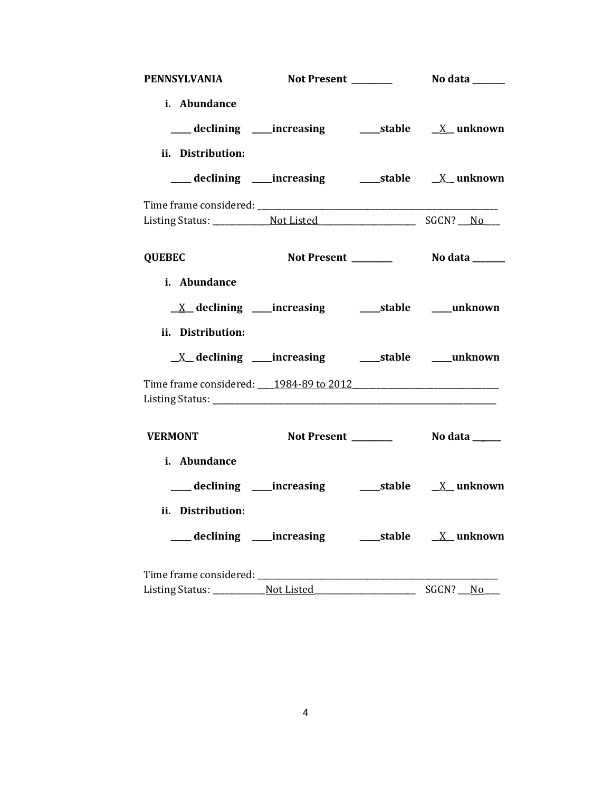| <b>PENNSYLVANIA</b>                      |                                                                                  |                          |          |
|------------------------------------------|----------------------------------------------------------------------------------|--------------------------|----------|
| i. Abundance<br>ii. Distribution:        |                                                                                  |                          |          |
|                                          |                                                                                  |                          |          |
|                                          |                                                                                  |                          |          |
| <b>QUEBEC</b>                            |                                                                                  |                          |          |
| i. Abundance<br>ii. Distribution:        | $\underline{X}$ declining ____increasing _______stable _____unknown              |                          |          |
|                                          |                                                                                  |                          |          |
|                                          |                                                                                  |                          |          |
| <b>VERMONT</b><br>i. Abundance           |                                                                                  |                          |          |
|                                          | ___ declining ____increasing _____________stable _______________________________ |                          |          |
| ii. Distribution:                        |                                                                                  |                          |          |
|                                          |                                                                                  |                          |          |
| Listing Status: _____________ Not Listed |                                                                                  | $\overline{\phantom{a}}$ | SGCN? No |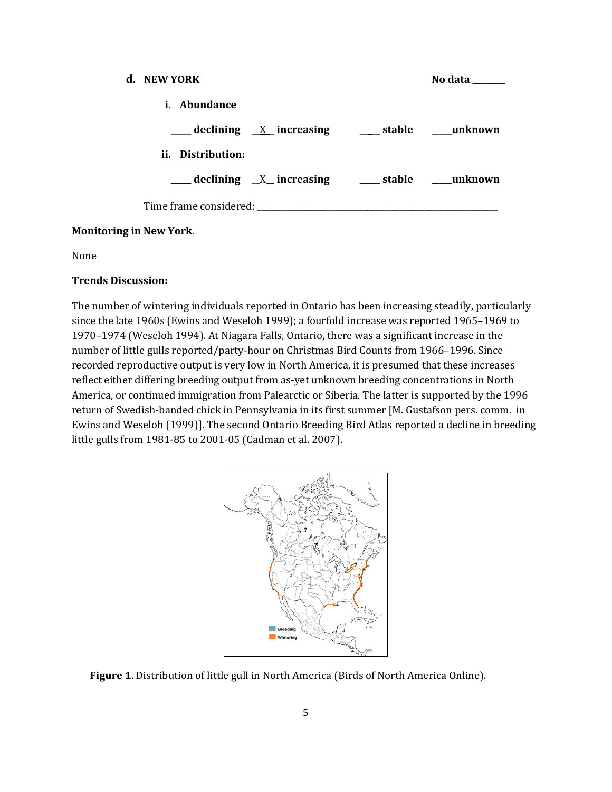| d. NEW YORK                                                 | No data |
|-------------------------------------------------------------|---------|
| i. Abundance                                                |         |
| ___ declining <u>X</u> increasing ___ stable ___ unknown    |         |
| ii. Distribution:                                           |         |
| ___ declining <u>X</u> _increasing ____ stable ____ unknown |         |
| Time frame considered: Time frame considered:               |         |

# **Monitoring in New York.**

None

### **Trends Discussion:**

The number of wintering individuals reported in Ontario has been increasing steadily, particularly since the late 1960s (Ewins and Weseloh 1999); a fourfold increase was reported 1965–1969 to 1970–1974 (Weseloh 1994). At Niagara Falls, Ontario, there was a significant increase in the number of little gulls reported/party-hour on Christmas Bird Counts from 1966–1996. Since recorded reproductive output is very low in North America, it is presumed that these increases reflect either differing breeding output from as-yet unknown breeding concentrations in North America, or continued immigration from Palearctic or Siberia. The latter is supported by the 1996 return of Swedish-banded chick in Pennsylvania in its first summer [M. Gustafson pers. comm. in Ewins and Weseloh (1999)]. The second Ontario Breeding Bird Atlas reported a decline in breeding little gulls from 1981-85 to 2001-05 (Cadman et al. 2007).



**Figure 1**. Distribution of little gull in North America (Birds of North America Online).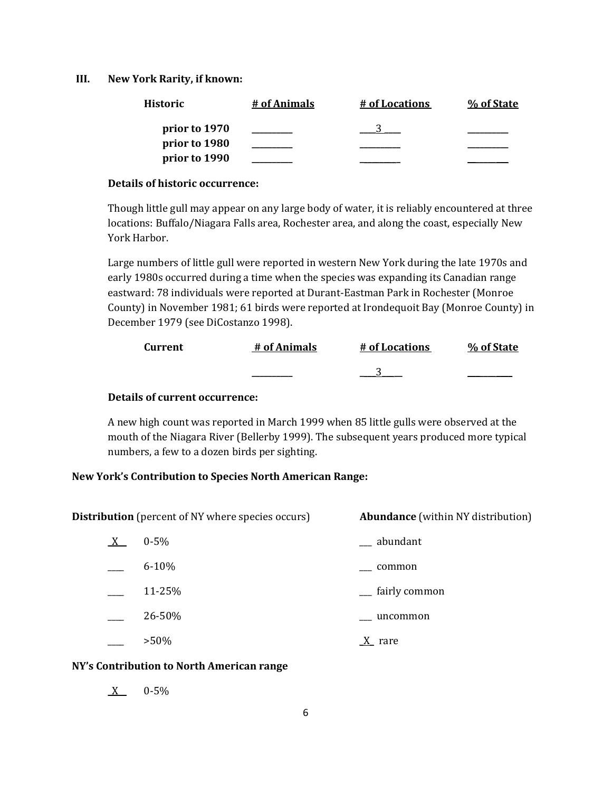#### **III. New York Rarity, if known:**

| Historic      | # of Animals | # of Locations | % of State |
|---------------|--------------|----------------|------------|
| prior to 1970 |              |                |            |
| prior to 1980 |              |                |            |
| prior to 1990 |              |                |            |

#### **Details of historic occurrence:**

Though little gull may appear on any large body of water, it is reliably encountered at three locations: Buffalo/Niagara Falls area, Rochester area, and along the coast, especially New York Harbor.

Large numbers of little gull were reported in western New York during the late 1970s and early 1980s occurred during a time when the species was expanding its Canadian range eastward: 78 individuals were reported at Durant-Eastman Park in Rochester (Monroe County) in November 1981; 61 birds were reported at Irondequoit Bay (Monroe County) in December 1979 (see DiCostanzo 1998).

| Current | # of Animals | # of Locations | % of State |
|---------|--------------|----------------|------------|
|         |              |                |            |

#### **Details of current occurrence:**

A new high count was reported in March 1999 when 85 little gulls were observed at the mouth of the Niagara River (Bellerby 1999). The subsequent years produced more typical numbers, a few to a dozen birds per sighting.

### **New York's Contribution to Species North American Range:**

**Distribution** (percent of NY where species occurs) **Abundance** (within NY distribution)

 $X$  0-5%  $\qquad \qquad$  abundant 6-10% \_\_\_ common 11-25% \_\_\_\_ fairly common \_\_\_\_ 26-50% \_\_\_ uncommon  $>50\%$  X rare

# **NY's Contribution to North American range**

 $X = 0.5\%$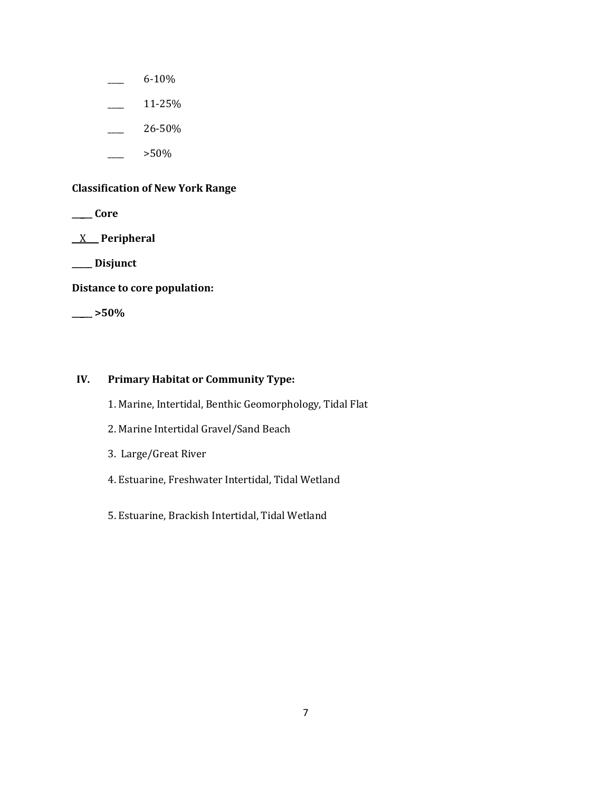- \_\_\_\_ 6-10%
- $\frac{11-25}{6}$
- \_\_\_\_ 26-50%
- \_\_\_\_ >50%

# **Classification of New York Range**

**\_\_\_\_\_ Core**

\_\_X\_\_\_ **Peripheral**

**\_\_\_\_\_ Disjunct**

**Distance to core population:**

**\_\_\_\_\_ >50%**

### **IV. Primary Habitat or Community Type:**

- 1. Marine, Intertidal, Benthic Geomorphology, Tidal Flat
- 2. Marine Intertidal Gravel/Sand Beach
- 3. Large/Great River
- 4. Estuarine, Freshwater Intertidal, Tidal Wetland
- 5. Estuarine, Brackish Intertidal, Tidal Wetland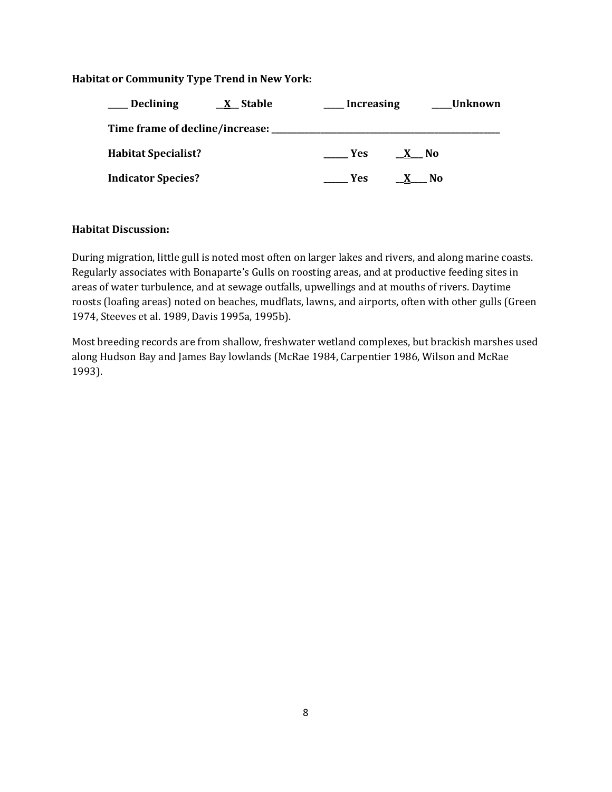# **Habitat or Community Type Trend in New York:**

| <b>Declining</b>                               | $X$ Stable | <b>Increasing</b> |      | Unknown |
|------------------------------------------------|------------|-------------------|------|---------|
| Time frame of decline/increase: ______________ |            |                   |      |         |
| <b>Habitat Specialist?</b>                     |            | <b>Yes</b>        | X No |         |
| <b>Indicator Species?</b>                      |            | <b>Yes</b>        |      | N0      |

### **Habitat Discussion:**

During migration, little gull is noted most often on larger lakes and rivers, and along marine coasts. Regularly associates with Bonaparte's Gulls on roosting areas, and at productive feeding sites in areas of water turbulence, and at sewage outfalls, upwellings and at mouths of rivers. Daytime roosts (loafing areas) noted on beaches, mudflats, lawns, and airports, often with other gulls (Green 1974, Steeves et al. 1989, Davis 1995a, 1995b).

Most breeding records are from shallow, freshwater wetland complexes, but brackish marshes used along Hudson Bay and James Bay lowlands (McRae 1984, Carpentier 1986, Wilson and McRae 1993).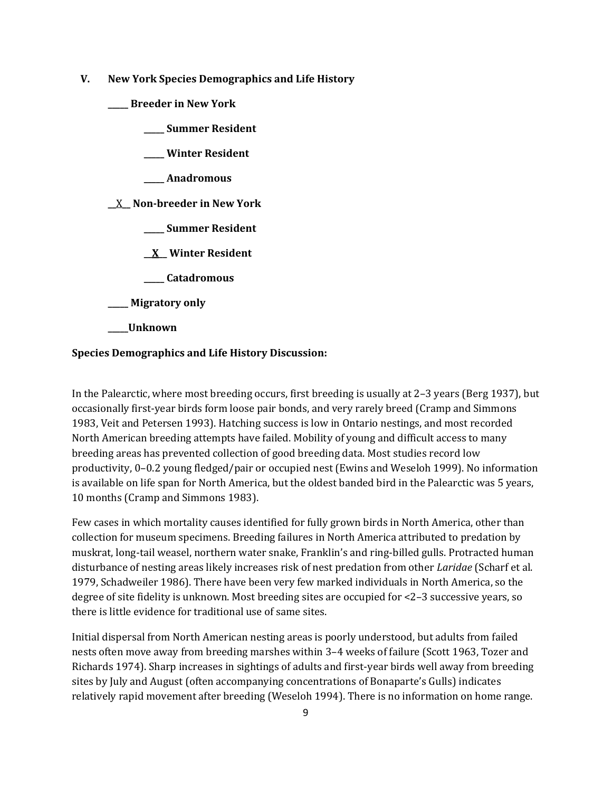- **V. New York Species Demographics and Life History**
	- **\_\_\_\_\_ Breeder in New York**
		- **\_\_\_\_\_ Summer Resident**
		- **\_\_\_\_\_ Winter Resident**
		- **\_\_\_\_\_ Anadromous**

#### **\_\_**X**\_\_ Non-breeder in New York**

- **\_\_\_\_\_ Summer Resident**
- **\_\_X\_\_ Winter Resident**
- **\_\_\_\_\_ Catadromous**
- **\_\_\_\_\_ Migratory only**
- **\_\_\_\_\_Unknown**

### **Species Demographics and Life History Discussion:**

In the Palearctic, where most breeding occurs, first breeding is usually at 2–3 years (Berg 1937), but occasionally first-year birds form loose pair bonds, and very rarely breed (Cramp and Simmons 1983, Veit and Petersen 1993). Hatching success is low in Ontario nestings, and most recorded North American breeding attempts have failed. Mobility of young and difficult access to many breeding areas has prevented collection of good breeding data. Most studies record low productivity, 0–0.2 young fledged/pair or occupied nest (Ewins and Weseloh 1999). No information is available on life span for North America, but the oldest banded bird in the Palearctic was 5 years, 10 months (Cramp and Simmons 1983).

Few cases in which mortality causes identified for fully grown birds in North America, other than collection for museum specimens. Breeding failures in North America attributed to predation by muskrat, long-tail weasel, northern water snake, Franklin's and ring-billed gulls. Protracted human disturbance of nesting areas likely increases risk of nest predation from other *Laridae* (Scharf et al. 1979, Schadweiler 1986). There have been very few marked individuals in North America, so the degree of site fidelity is unknown. Most breeding sites are occupied for <2–3 successive years, so there is little evidence for traditional use of same sites.

Initial dispersal from North American nesting areas is poorly understood, but adults from failed nests often move away from breeding marshes within 3–4 weeks of failure (Scott 1963, Tozer and Richards 1974). Sharp increases in sightings of adults and first-year birds well away from breeding sites by July and August (often accompanying concentrations of Bonaparte's Gulls) indicates relatively rapid movement after breeding (Weseloh 1994). There is no information on home range.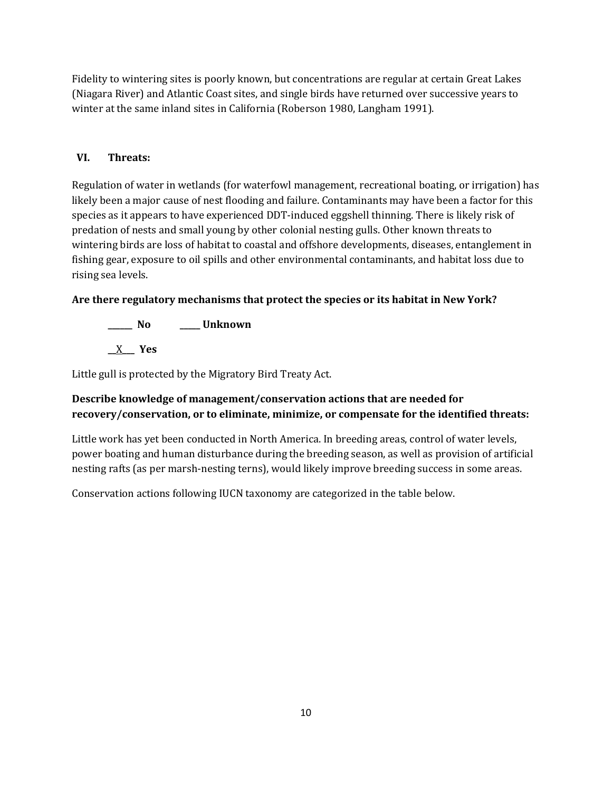Fidelity to wintering sites is poorly known, but concentrations are regular at certain Great Lakes (Niagara River) and Atlantic Coast sites, and single birds have returned over successive years to winter at the same inland sites in California (Roberson 1980, Langham 1991).

# **VI. Threats:**

Regulation of water in wetlands (for waterfowl management, recreational boating, or irrigation) has likely been a major cause of nest flooding and failure. Contaminants may have been a factor for this species as it appears to have experienced DDT-induced eggshell thinning. There is likely risk of predation of nests and small young by other colonial nesting gulls. Other known threats to wintering birds are loss of habitat to coastal and offshore developments, diseases, entanglement in fishing gear, exposure to oil spills and other environmental contaminants, and habitat loss due to rising sea levels.

# **Are there regulatory mechanisms that protect the species or its habitat in New York?**

**\_\_\_\_\_\_ No \_\_\_\_\_ Unknown \_\_**X**\_\_\_ Yes** 

Little gull is protected by the Migratory Bird Treaty Act.

# **Describe knowledge of management/conservation actions that are needed for recovery/conservation, or to eliminate, minimize, or compensate for the identified threats:**

Little work has yet been conducted in North America. In breeding areas, control of water levels, power boating and human disturbance during the breeding season, as well as provision of artificial nesting rafts (as per marsh-nesting terns), would likely improve breeding success in some areas.

Conservation actions following IUCN taxonomy are categorized in the table below.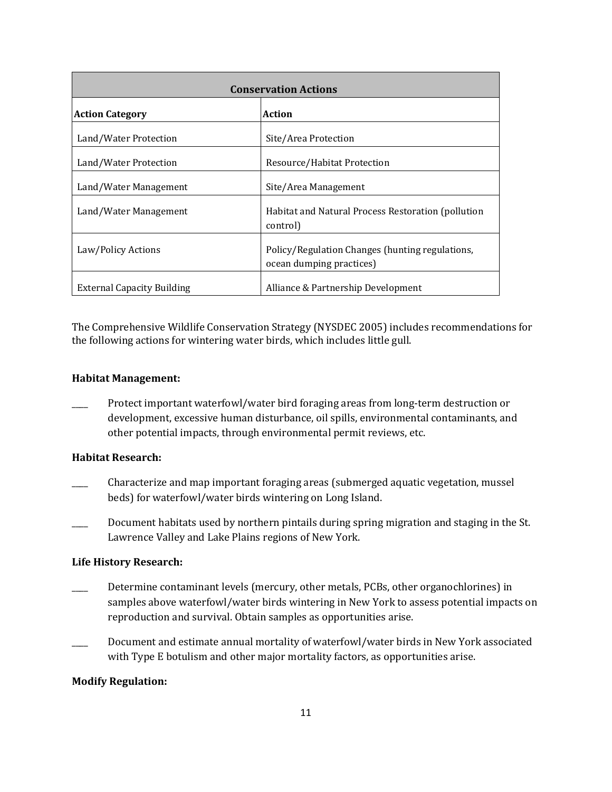| <b>Conservation Actions</b>       |                                                                             |  |
|-----------------------------------|-----------------------------------------------------------------------------|--|
| <b>Action Category</b>            | Action                                                                      |  |
| Land/Water Protection             | Site/Area Protection                                                        |  |
| Land/Water Protection             | Resource/Habitat Protection                                                 |  |
| Land/Water Management             | Site/Area Management                                                        |  |
| Land/Water Management             | Habitat and Natural Process Restoration (pollution<br>control)              |  |
| Law/Policy Actions                | Policy/Regulation Changes (hunting regulations,<br>ocean dumping practices) |  |
| <b>External Capacity Building</b> | Alliance & Partnership Development                                          |  |

The Comprehensive Wildlife Conservation Strategy (NYSDEC 2005) includes recommendations for the following actions for wintering water birds, which includes little gull.

#### **Habitat Management:**

\_\_\_\_ Protect important waterfowl/water bird foraging areas from long-term destruction or development, excessive human disturbance, oil spills, environmental contaminants, and other potential impacts, through environmental permit reviews, etc.

### **Habitat Research:**

- \_\_\_\_ Characterize and map important foraging areas (submerged aquatic vegetation, mussel beds) for waterfowl/water birds wintering on Long Island.
- Document habitats used by northern pintails during spring migration and staging in the St. Lawrence Valley and Lake Plains regions of New York.

### **Life History Research:**

- Determine contaminant levels (mercury, other metals, PCBs, other organochlorines) in samples above waterfowl/water birds wintering in New York to assess potential impacts on reproduction and survival. Obtain samples as opportunities arise.
- \_\_\_\_ Document and estimate annual mortality of waterfowl/water birds in New York associated with Type E botulism and other major mortality factors, as opportunities arise.

### **Modify Regulation:**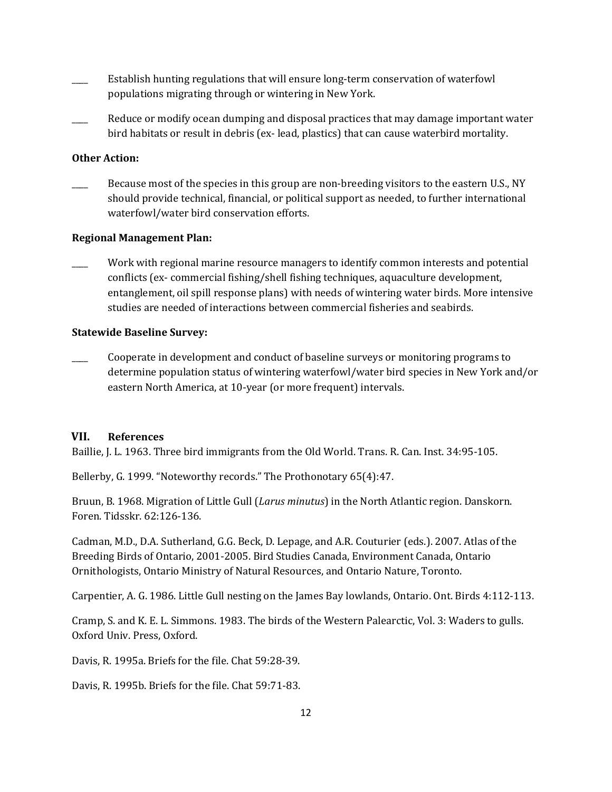- Establish hunting regulations that will ensure long-term conservation of waterfowl populations migrating through or wintering in New York.
- Reduce or modify ocean dumping and disposal practices that may damage important water bird habitats or result in debris (ex- lead, plastics) that can cause waterbird mortality.

### **Other Action:**

Because most of the species in this group are non-breeding visitors to the eastern U.S., NY should provide technical, financial, or political support as needed, to further international waterfowl/water bird conservation efforts.

#### **Regional Management Plan:**

Work with regional marine resource managers to identify common interests and potential conflicts (ex- commercial fishing/shell fishing techniques, aquaculture development, entanglement, oil spill response plans) with needs of wintering water birds. More intensive studies are needed of interactions between commercial fisheries and seabirds.

#### **Statewide Baseline Survey:**

\_\_\_\_ Cooperate in development and conduct of baseline surveys or monitoring programs to determine population status of wintering waterfowl/water bird species in New York and/or eastern North America, at 10-year (or more frequent) intervals.

### **VII. References**

Baillie, J. L. 1963. Three bird immigrants from the Old World. Trans. R. Can. Inst. 34:95-105.

Bellerby, G. 1999. "Noteworthy records." The Prothonotary 65(4):47.

Bruun, B. 1968. Migration of Little Gull (*Larus minutus*) in the North Atlantic region. Danskorn. Foren. Tidsskr. 62:126-136.

Cadman, M.D., D.A. Sutherland, G.G. Beck, D. Lepage, and A.R. Couturier (eds.). 2007. Atlas of the Breeding Birds of Ontario, 2001-2005. Bird Studies Canada, Environment Canada, Ontario Ornithologists, Ontario Ministry of Natural Resources, and Ontario Nature, Toronto.

Carpentier, A. G. 1986. Little Gull nesting on the James Bay lowlands, Ontario. Ont. Birds 4:112-113.

Cramp, S. and K. E. L. Simmons. 1983. The birds of the Western Palearctic, Vol. 3: Waders to gulls. Oxford Univ. Press, Oxford.

Davis, R. 1995a. Briefs for the file. Chat 59:28-39.

Davis, R. 1995b. Briefs for the file. Chat 59:71-83.